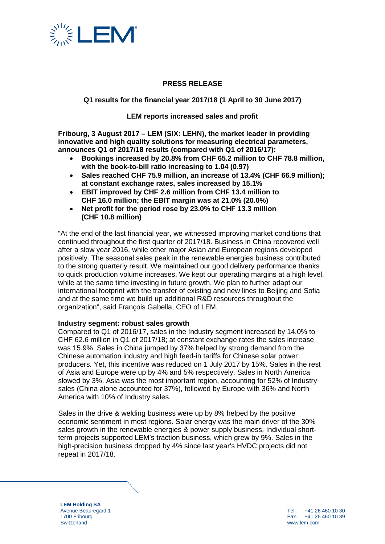

## **PRESS RELEASE**

## **Q1 results for the financial year 2017/18 (1 April to 30 June 2017)**

**LEM reports increased sales and profit**

**Fribourg, 3 August 2017 – LEM (SIX: LEHN), the market leader in providing innovative and high quality solutions for measuring electrical parameters, announces Q1 of 2017/18 results (compared with Q1 of 2016/17):** 

- **Bookings increased by 20.8% from CHF 65.2 million to CHF 78.8 million, with the book-to-bill ratio increasing to 1.04 (0.97)**
- **Sales reached CHF 75.9 million, an increase of 13.4% (CHF 66.9 million); at constant exchange rates, sales increased by 15.1%**
- **EBIT improved by CHF 2.6 million from CHF 13.4 million to CHF 16.0 million; the EBIT margin was at 21.0% (20.0%)**
- **Net profit for the period rose by 23.0% to CHF 13.3 million (CHF 10.8 million)**

"At the end of the last financial year, we witnessed improving market conditions that continued throughout the first quarter of 2017/18. Business in China recovered well after a slow year 2016, while other major Asian and European regions developed positively. The seasonal sales peak in the renewable energies business contributed to the strong quarterly result. We maintained our good delivery performance thanks to quick production volume increases. We kept our operating margins at a high level, while at the same time investing in future growth. We plan to further adapt our international footprint with the transfer of existing and new lines to Beijing and Sofia and at the same time we build up additional R&D resources throughout the organization", said François Gabella, CEO of LEM.

### **Industry segment: robust sales growth**

Compared to Q1 of 2016/17, sales in the Industry segment increased by 14.0% to CHF 62.6 million in Q1 of 2017/18; at constant exchange rates the sales increase was 15.9%. Sales in China jumped by 37% helped by strong demand from the Chinese automation industry and high feed-in tariffs for Chinese solar power producers. Yet, this incentive was reduced on 1 July 2017 by 15%. Sales in the rest of Asia and Europe were up by 4% and 5% respectively. Sales in North America slowed by 3%. Asia was the most important region, accounting for 52% of Industry sales (China alone accounted for 37%), followed by Europe with 36% and North America with 10% of Industry sales.

Sales in the drive & welding business were up by 8% helped by the positive economic sentiment in most regions. Solar energy was the main driver of the 30% sales growth in the renewable energies & power supply business. Individual shortterm projects supported LEM's traction business, which grew by 9%. Sales in the high-precision business dropped by 4% since last year's HVDC projects did not repeat in 2017/18.

**LEM Holding SA** Avenue Beauregard 1 1700 Fribourg **Switzerland** 

Tel. : +41 26 460 10 30 Fax.: +41 26 460 10 39 www.lem.com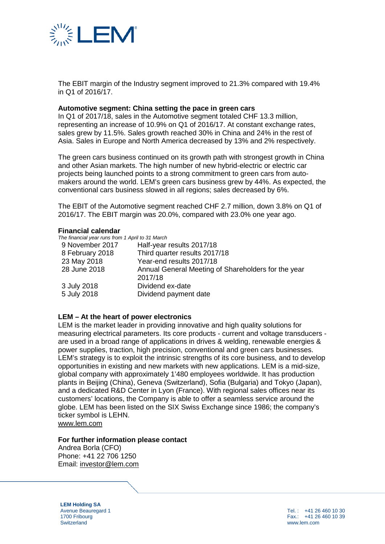

The EBIT margin of the Industry segment improved to 21.3% compared with 19.4% in Q1 of 2016/17.

#### **Automotive segment: China setting the pace in green cars**

In Q1 of 2017/18, sales in the Automotive segment totaled CHF 13.3 million, representing an increase of 10.9% on Q1 of 2016/17. At constant exchange rates, sales grew by 11.5%. Sales growth reached 30% in China and 24% in the rest of Asia. Sales in Europe and North America decreased by 13% and 2% respectively.

The green cars business continued on its growth path with strongest growth in China and other Asian markets. The high number of new hybrid-electric or electric car projects being launched points to a strong commitment to green cars from automakers around the world. LEM's green cars business grew by 44%. As expected, the conventional cars business slowed in all regions; sales decreased by 6%.

The EBIT of the Automotive segment reached CHF 2.7 million, down 3.8% on Q1 of 2016/17. The EBIT margin was 20.0%, compared with 23.0% one year ago.

#### **Financial calendar**

*The financial year runs from 1 April to 31 March*

| Half-year results 2017/18                           |
|-----------------------------------------------------|
| Third quarter results 2017/18                       |
| Year-end results 2017/18                            |
| Annual General Meeting of Shareholders for the year |
| 2017/18                                             |
| Dividend ex-date                                    |
| Dividend payment date                               |
|                                                     |

## **LEM – At the heart of power electronics**

LEM is the market leader in providing innovative and high quality solutions for measuring electrical parameters. Its core products - current and voltage transducers are used in a broad range of applications in drives & welding, renewable energies & power supplies, traction, high precision, conventional and green cars businesses. LEM's strategy is to exploit the intrinsic strengths of its core business, and to develop opportunities in existing and new markets with new applications. LEM is a mid-size, global company with approximately 1'480 employees worldwide. It has production plants in Beijing (China), Geneva (Switzerland), Sofia (Bulgaria) and Tokyo (Japan), and a dedicated R&D Center in Lyon (France). With regional sales offices near its customers' locations, the Company is able to offer a seamless service around the globe. LEM has been listed on the SIX Swiss Exchange since 1986; the company's ticker symbol is LEHN.

[www.lem.com](http://www.lem.com/)

#### **For further information please contact**

Andrea Borla (CFO) Phone: +41 22 706 1250 Email: [investor@lem.com](mailto:investor@lem.com)

**LEM Holding SA** Avenue Beauregard 1 1700 Fribourg **Switzerland** 

Tel. : +41 26 460 10 30 Fax.: +41 26 460 10 39 www.lem.com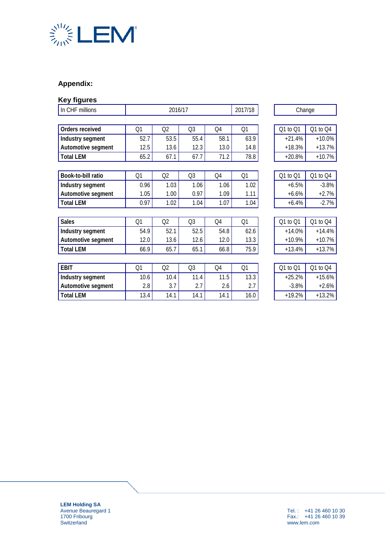

# **Appendix:**

| <b>Key figures</b> |         |                |                |                |        |          |          |
|--------------------|---------|----------------|----------------|----------------|--------|----------|----------|
| In CHF millions    | 2016/17 |                |                | 2017/18        | Change |          |          |
|                    |         |                |                |                |        |          |          |
| Orders received    | Q1      | Q2             | Q <sub>3</sub> | O <sub>4</sub> | Q1     | Q1 to Q1 | Q1 to Q4 |
| Industry segment   | 52.7    | 53.5           | 55.4           | 58.1           | 63.9   | $+21.4%$ | $+10.0%$ |
| Automotive segment | 12.5    | 13.6           | 12.3           | 13.0           | 14.8   | $+18.3%$ | $+13.7%$ |
| <b>Total LEM</b>   | 65.2    | 67.1           | 67.7           | 71.2           | 78.8   | $+20.8%$ | $+10.7%$ |
|                    |         |                |                |                |        |          |          |
| Book-to-bill ratio | Q1      | Q2             | Q <sub>3</sub> | Q4             | Q1     | Q1 to Q1 | Q1 to Q4 |
| Industry segment   | 0.96    | 1.03           | 1.06           | 1.06           | 1.02   | $+6.5%$  | $-3.8%$  |
| Automotive segment | 1.05    | 1.00           | 0.97           | 1.09           | 1.11   | $+6.6%$  | $+2.7%$  |
| <b>Total LEM</b>   | 0.97    | 1.02           | 1.04           | 1.07           | 1.04   | $+6.4%$  | $-2.7%$  |
|                    |         |                |                |                |        |          |          |
| <b>Sales</b>       | Q1      | Q <sub>2</sub> | Q <sub>3</sub> | O <sub>4</sub> | Q1     | Q1 to Q1 | Q1 to Q4 |
| Industry segment   | 54.9    | 52.1           | 52.5           | 54.8           | 62.6   | $+14.0%$ | $+14.4%$ |
| Automotive segment | 12.0    | 13.6           | 12.6           | 12.0           | 13.3   | $+10.9%$ | $+10.7%$ |
| <b>Total LEM</b>   | 66.9    | 65.7           | 65.1           | 66.8           | 75.9   | $+13.4%$ | $+13.7%$ |
|                    |         |                |                |                |        |          |          |
| <b>EBIT</b>        | Q1      | Q2             | Q <sub>3</sub> | Q4             | Q1     | Q1 to Q1 | Q1 to Q4 |
| Industry segment   | 10.6    | 10.4           | 11.4           | 11.5           | 13.3   | $+25.2%$ | $+15.6%$ |
| Automotive segment | 2.8     | 3.7            | 2.7            | 2.6            | 2.7    | $-3.8%$  | $+2.6%$  |
| <b>Total LEM</b>   | 13.4    | 14.1           | 14.1           | 14.1           | 16.0   | $+19.2%$ | $+13.2%$ |